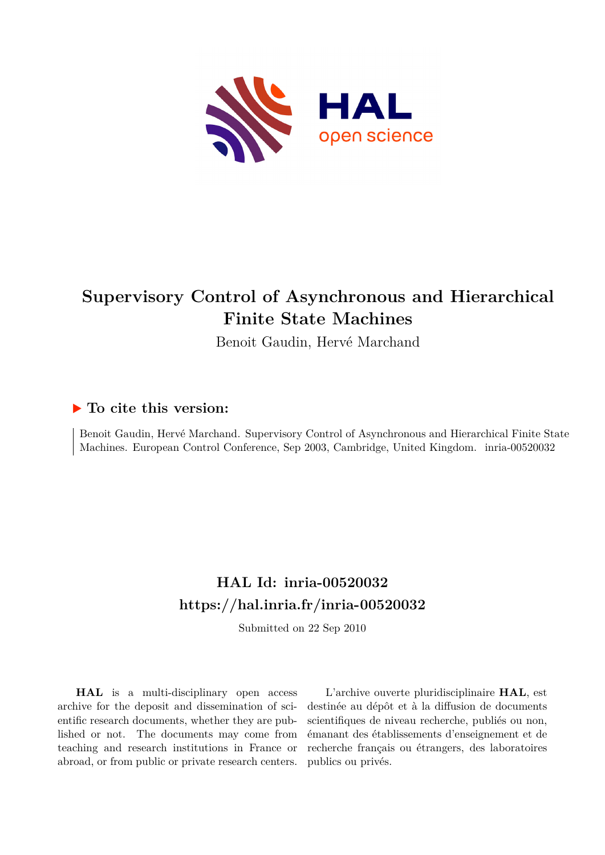

# **Supervisory Control of Asynchronous and Hierarchical Finite State Machines**

Benoit Gaudin, Hervé Marchand

## **To cite this version:**

Benoit Gaudin, Hervé Marchand. Supervisory Control of Asynchronous and Hierarchical Finite State Machines. European Control Conference, Sep 2003, Cambridge, United Kingdom. inria-00520032

## **HAL Id: inria-00520032 <https://hal.inria.fr/inria-00520032>**

Submitted on 22 Sep 2010

**HAL** is a multi-disciplinary open access archive for the deposit and dissemination of scientific research documents, whether they are published or not. The documents may come from teaching and research institutions in France or abroad, or from public or private research centers.

L'archive ouverte pluridisciplinaire **HAL**, est destinée au dépôt et à la diffusion de documents scientifiques de niveau recherche, publiés ou non, émanant des établissements d'enseignement et de recherche français ou étrangers, des laboratoires publics ou privés.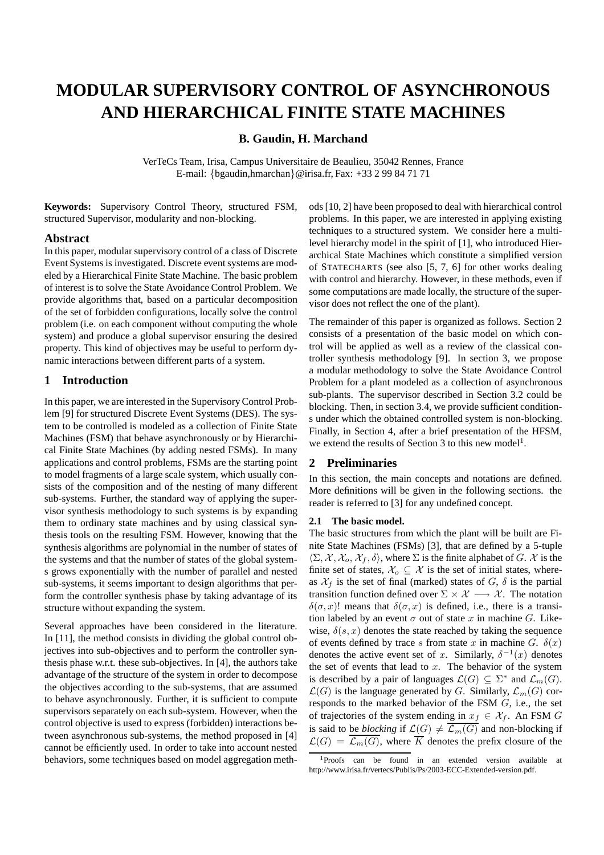## **MODULAR SUPERVISORY CONTROL OF ASYNCHRONOUS AND HIERARCHICAL FINITE STATE MACHINES**

## **B. Gaudin, H. Marchand**

VerTeCs Team, Irisa, Campus Universitaire de Beaulieu, 35042 Rennes, France E-mail: {bgaudin,hmarchan}@irisa.fr, Fax: +33 2 99 84 71 71

**Keywords:** Supervisory Control Theory, structured FSM, structured Supervisor, modularity and non-blocking.

#### **Abstract**

In this paper, modular supervisory control of a class of Discrete Event Systems is investigated. Discrete event systems are modeled by a Hierarchical Finite State Machine. The basic problem of interest is to solve the State Avoidance Control Problem. We provide algorithms that, based on a particular decomposition of the set of forbidden configurations, locally solve the control problem (i.e. on each component without computing the whole system) and produce a global supervisor ensuring the desired property. This kind of objectives may be useful to perform dynamic interactions between different parts of a system.

#### **1 Introduction**

In this paper, we are interested in the SupervisoryControl Problem [9] for structured Discrete Event Systems (DES). The system to be controlled is modeled as a collection of Finite State Machines (FSM) that behave asynchronously or by Hierarchical Finite State Machines (by adding nested FSMs). In many applications and control problems, FSMs are the starting point to model fragments of a large scale system, which usually consists of the composition and of the nesting of many different sub-systems. Further, the standard way of applying the supervisor synthesis methodology to such systems is by expanding them to ordinary state machines and by using classical synthesis tools on the resulting FSM. However, knowing that the synthesis algorithms are polynomial in the number of states of the systems and that the number of states of the global systems grows exponentially with the number of parallel and nested sub-systems, it seems important to design algorithms that perform the controller synthesis phase by taking advantage of its structure without expanding the system.

Several approaches have been considered in the literature. In [11], the method consists in dividing the global control objectives into sub-objectives and to perform the controller synthesis phase w.r.t. these sub-objectives. In [4], the authors take advantage of the structure of the system in order to decompose the objectives according to the sub-systems, that are assumed to behave asynchronously. Further, it is sufficient to compute supervisors separately on each sub-system. However, when the control objective is used to express (forbidden) interactions between asynchronous sub-systems, the method proposed in [4] cannot be efficiently used. In order to take into account nested behaviors, some techniques based on model aggregation methods [10, 2] have been proposed to deal with hierarchical control problems. In this paper, we are interested in applying existing techniques to a structured system. We consider here a multilevel hierarchy model in the spirit of [1], who introduced Hierarchical State Machines which constitute a simplified version of STATECHARTS (see also [5, 7, 6] for other works dealing with control and hierarchy. However, in these methods, even if some computations are made locally, the structure of the supervisor does not reflect the one of the plant).

The remainder of this paper is organized as follows. Section 2 consists of a presentation of the basic model on which control will be applied as well as a review of the classical controller synthesis methodology [9]. In section 3, we propose a modular methodology to solve the State Avoidance Control Problem for a plant modeled as a collection of asynchronous sub-plants. The supervisor described in Section 3.2 could be blocking. Then, in section 3.4, we provide sufficient conditions under which the obtained controlled system is non-blocking. Finally, in Section 4, after a brief presentation of the HFSM, we extend the results of Section 3 to this new model<sup>1</sup>.

### **2 Preliminaries**

In this section, the main concepts and notations are defined. More definitions will be given in the following sections. the reader is referred to [3] for any undefined concept.

#### **2.1 The basic model.**

The basic structures from which the plant will be built are Finite State Machines (FSMs) [3], that are defined by a 5-tuple  $\langle \Sigma, \mathcal{X}, \mathcal{X}_o, \mathcal{X}_f, \delta \rangle$ , where  $\Sigma$  is the finite alphabet of G. X is the finite set of states,  $\mathcal{X}_o \subseteq \mathcal{X}$  is the set of initial states, whereas  $\mathcal{X}_f$  is the set of final (marked) states of G,  $\delta$  is the partial transition function defined over  $\Sigma \times \mathcal{X} \longrightarrow \mathcal{X}$ . The notation  $\delta(\sigma, x)!$  means that  $\delta(\sigma, x)$  is defined, i.e., there is a transition labeled by an event  $\sigma$  out of state x in machine G. Likewise,  $\delta(s, x)$  denotes the state reached by taking the sequence of events defined by trace s from state x in machine G.  $\delta(x)$ denotes the active event set of x. Similarly,  $\delta^{-1}(x)$  denotes the set of events that lead to  $x$ . The behavior of the system is described by a pair of languages  $\mathcal{L}(G) \subseteq \Sigma^*$  and  $\mathcal{L}_m(G)$ .  $\mathcal{L}(G)$  is the language generated by G. Similarly,  $\mathcal{L}_m(G)$  corresponds to the marked behavior of the FSM G, i.e., the set of trajectories of the system ending in  $x_f \in \mathcal{X}_f$ . An FSM G is said to be *blocking* if  $\mathcal{L}(G) \neq \mathcal{L}_m(G)$  and non-blocking if  $\mathcal{L}(G) = \mathcal{L}_m(G)$ , where K denotes the prefix closure of the

<sup>1</sup>Proofs can be found in an extended version available at http://www.irisa.fr/vertecs/Publis/Ps/2003-ECC-Extended-version.pdf.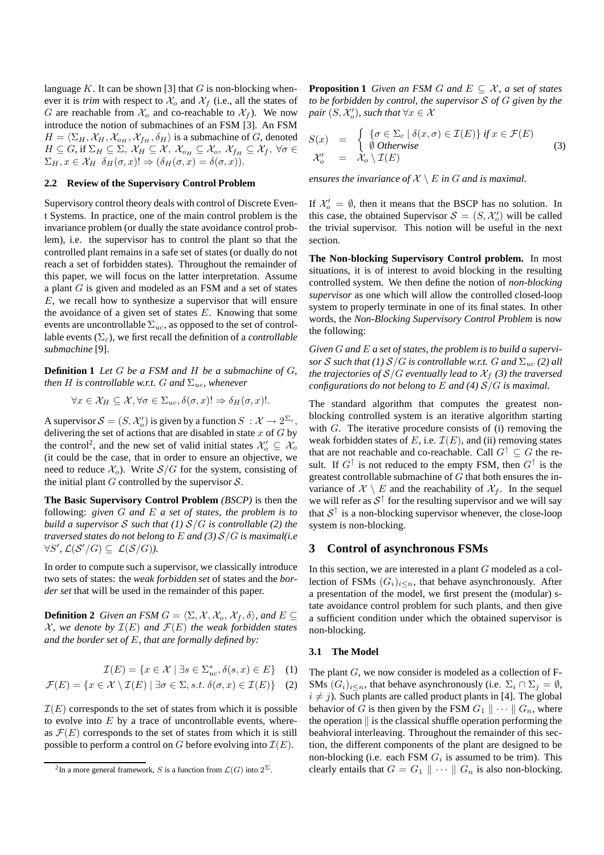language  $K$ . It can be shown [3] that  $G$  is non-blocking whenever it is *trim* with respect to  $\mathcal{X}_o$  and  $\mathcal{X}_f$  (i.e., all the states of G are reachable from  $\mathcal{X}_o$  and co-reachable to  $\mathcal{X}_f$ ). We now introduce the notion of submachines of an FSM [3]. An FSM  $H = \langle \Sigma_H , \mathcal{X}_H , \mathcal{X}_{o_H} , \mathcal{X}_{f_H} , \delta_H \rangle$  is a submachine of G, denoted  $H \subseteq G$ , if  $\Sigma_H \subseteq \Sigma$ ,  $\mathcal{X}_H \subseteq \mathcal{X}$ ,  $\mathcal{X}_{o_H} \subseteq \mathcal{X}_o$ ,  $\mathcal{X}_{f_H} \subseteq \mathcal{X}_f$ ,  $\forall \sigma \in$  $\Sigma_H, x \in \mathcal{X}_H \, \delta_H(\sigma, x)! \Rightarrow (\delta_H(\sigma, x) = \delta(\sigma, x)).$ 

#### **2.2 Review of the Supervisory Control Problem**

Supervisory control theory deals with control of Discrete Event Systems. In practice, one of the main control problem is the invariance problem (or dually the state avoidance control problem), i.e. the supervisor has to control the plant so that the controlled plant remains in a safe set of states (or dually do not reach a set of forbidden states). Throughout the remainder of this paper, we will focus on the latter interpretation. Assume a plant G is given and modeled as an FSM and a set of states E, we recall how to synthesize a supervisor that will ensure the avoidance of a given set of states  $E$ . Knowing that some events are uncontrollable  $\Sigma_{uc}$ , as opposed to the set of controllable events  $(\Sigma_c)$ , we first recall the definition of a *controllable submachine* [9].

**Definition 1** *Let* G *be a FSM and* H *be a submachine of* G*, then H is controllable w.r.t. G and*  $\Sigma_{uc}$ *, whenever* 

$$
\forall x \in \mathcal{X}_H \subseteq \mathcal{X}, \forall \sigma \in \Sigma_{uc}, \delta(\sigma, x)! \Rightarrow \delta_H(\sigma, x)!
$$

A supervisor  $S = (S, \mathcal{X}'_o)$  is given by a function  $S : \mathcal{X} \to 2^{\Sigma_c}$ , delivering the set of actions that are disabled in state  $x$  of  $G$  by the control<sup>2</sup>, and the new set of valid initial states  $\mathcal{X}'_o \subseteq \mathcal{X}_o$ (it could be the case, that in order to ensure an objective, we need to reduce  $\mathcal{X}_o$ . Write  $\mathcal{S}/G$  for the system, consisting of the initial plant  $G$  controlled by the supervisor  $S$ .

**The Basic Supervisory Control Problem** *(BSCP)* is then the following: *given* G *and* E *a set of states, the problem is to build* a supervisor S such that  $(1) S/G$  is controllable  $(2)$  the *traversed states do not belong to* E *and (3)* S/G *is maximal(i.e*  $\forall S',\, \mathcal{L}(\mathcal{S}'/G) \subseteq \mathcal{L}(\mathcal{S}/G)$ ).

In order to compute such a supervisor, we classically introduce two sets of states: the *weak forbidden set* of states and the *border set* that will be used in the remainder of this paper.

**Definition 2** *Given an FSM*  $G = \langle \Sigma, \mathcal{X}, \mathcal{X}_o, \mathcal{X}_f, \delta \rangle$ , and  $E \subseteq$  $X$ *, we denote by*  $\mathcal{I}(E)$  *and*  $\mathcal{F}(E)$  *the weak forbidden states and the border set of* E*, that are formally defined by:*

$$
\mathcal{I}(E) = \{ x \in \mathcal{X} \mid \exists s \in \Sigma_{uc}^*, \delta(s, x) \in E \} \quad (1)
$$

$$
\mathcal{F}(E) = \{ x \in \mathcal{X} \setminus \mathcal{I}(E) \mid \exists \sigma \in \Sigma, s.t. \ \delta(\sigma, x) \in \mathcal{I}(E) \} \tag{2}
$$

 $\mathcal{I}(E)$  corresponds to the set of states from which it is possible to evolve into  $E$  by a trace of uncontrollable events, whereas  $\mathcal{F}(E)$  corresponds to the set of states from which it is still possible to perform a control on G before evolving into  $\mathcal{I}(E)$ .

**Proposition 1** Given an FSM G and  $E \subseteq \mathcal{X}$ , a set of states *to be forbidden by control, the supervisor* S *of* G *given by the*  $pair(S, \mathcal{X}'_o)$ , such that  $\forall x \in \mathcal{X}$ 

$$
S(x) = \begin{cases} \{ \sigma \in \Sigma_c \mid \delta(x, \sigma) \in \mathcal{I}(E) \} \text{ if } x \in \mathcal{F}(E) \\ \emptyset \text{ Otherwise} \\ \mathcal{X}'_o = \mathcal{X}_o \setminus \mathcal{I}(E) \end{cases} \tag{3}
$$

*ensures the invariance of*  $X \setminus E$  *in G and is maximal.* 

If  $\mathcal{X}'_o = \emptyset$ , then it means that the BSCP has no solution. In this case, the obtained Supervisor  $S = (S, \mathcal{X}'_o)$  will be called the trivial supervisor. This notion will be useful in the next section.

**The Non-blocking Supervisory Control problem.** In most situations, it is of interest to avoid blocking in the resulting controlled system. We then define the notion of *non-blocking supervisor* as one which will allow the controlled closed-loop system to properly terminate in one of its final states. In other words, the *Non-Blocking Supervisory Control Problem* is now the following:

*Given* G *and* E *a set of states, the problem is to build a supervisor* S such that (1)  $S/G$  *is controllable w.r.t.* G and  $\Sigma_{uc}$  (2) all *the trajectories of*  $S/G$  *eventually lead to*  $X_f$  (3) *the traversed configurations do not belong to* E *and (4)* S/G *is maximal.*

The standard algorithm that computes the greatest nonblocking controlled system is an iterative algorithm starting with G. The iterative procedure consists of (i) removing the weak forbidden states of E, i.e.  $\mathcal{I}(E)$ , and (ii) removing states that are not reachable and co-reachable. Call  $G^{\dagger} \subseteq G$  the result. If  $G^{\uparrow}$  is not reduced to the empty FSM, then  $G^{\uparrow}$  is the greatest controllable submachine of  $G$  that both ensures the invariance of  $X \setminus E$  and the reachability of  $X_f$ . In the sequel we will refer as  $S^{\uparrow}$  for the resulting supervisor and we will say that  $S^{\uparrow}$  is a non-blocking supervisor whenever, the close-loop system is non-blocking.

### **3 Control of asynchronous FSMs**

In this section, we are interested in a plant G modeled as a collection of FSMs  $(G_i)_{i \leq n}$ , that behave asynchronously. After a presentation of the model, we first present the (modular) state avoidance control problem for such plants, and then give a sufficient condition under which the obtained supervisor is non-blocking.

#### **3.1 The Model**

The plant G, we now consider is modeled as a collection of F-SMs  $(G_i)_{i \leq n}$ , that behave asynchronously (i.e.  $\Sigma_i \cap \Sigma_j = \emptyset$ ,  $i \neq j$ ). Such plants are called product plants in [4]. The global behavior of G is then given by the FSM  $G_1 \parallel \cdots \parallel G_n$ , where the operation  $\parallel$  is the classical shuffle operation performing the beahvioral interleaving. Throughout the remainder of this section, the different components of the plant are designed to be non-blocking (i.e. each FSM  $G_i$  is assumed to be trim). This clearly entails that  $G = G_1 \parallel \cdots \parallel G_n$  is also non-blocking.

<sup>&</sup>lt;sup>2</sup>In a more general framework, S is a function from  $\mathcal{L}(G)$  into  $2^{\Sigma}$ .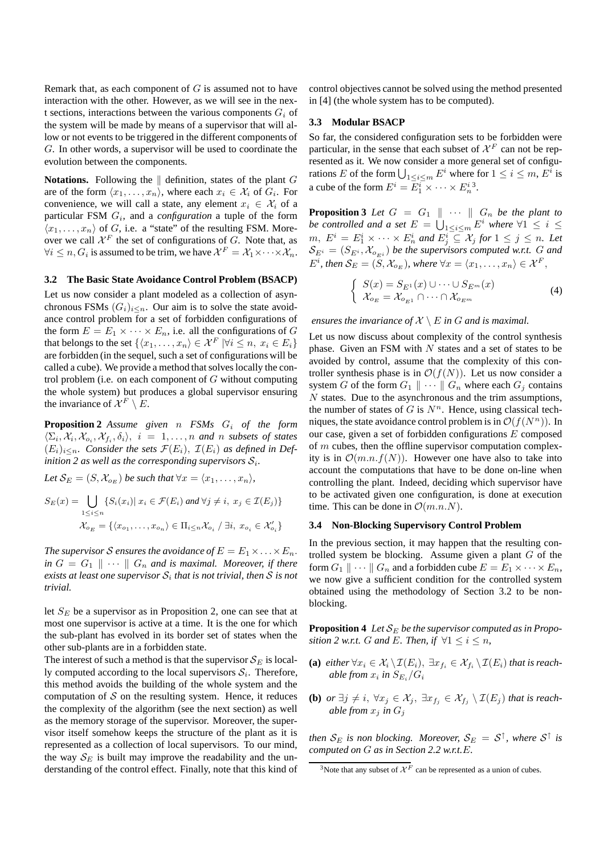Remark that, as each component of  $G$  is assumed not to have interaction with the other. However, as we will see in the next sections, interactions between the various components  $G_i$  of the system will be made by means of a supervisor that will allow or not events to be triggered in the different components of G. In other words, a supervisor will be used to coordinate the evolution between the components.

**Notations.** Following the  $\parallel$  definition, states of the plant G are of the form  $\langle x_1, \ldots, x_n \rangle$ , where each  $x_i \in \mathcal{X}_i$  of  $G_i$ . For convenience, we will call a state, any element  $x_i \in \mathcal{X}_i$  of a particular FSM G<sup>i</sup> , and a *configuration* a tuple of the form  $\langle x_1, \ldots, x_n \rangle$  of G, i.e. a "state" of the resulting FSM. Moreover we call  $\mathcal{X}^F$  the set of configurations of G. Note that, as  $\forall i \leq n, G_i$  is assumed to be trim, we have  $\mathcal{X}^F = \mathcal{X}_1 \times \cdots \times \mathcal{X}_n$ .

#### **3.2 The Basic State Avoidance Control Problem (BSACP)**

Let us now consider a plant modeled as a collection of asynchronous FSMs  $(G_i)_{i \leq n}$ . Our aim is to solve the state avoidance control problem for a set of forbidden configurations of the form  $E = E_1 \times \cdots \times E_n$ , i.e. all the configurations of G that belongs to the set  $\{\langle x_1, \ldots, x_n \rangle \in \mathcal{X}^F \ | \forall i \leq n, \ x_i \in E_i\}$ are forbidden (in the sequel, such a set of configurations will be called a cube). We provide a method that solves locally the control problem (i.e. on each component of  $G$  without computing the whole system) but produces a global supervisor ensuring the invariance of  $\mathcal{X}^F \setminus E$ .

**Proposition 2** *Assume given* n *FSMs* G<sup>i</sup> *of the form*  $\langle \Sigma_i, \mathcal{X}_i, \mathcal{X}_{o_i}, \mathcal{X}_{f_i}, \delta_i \rangle$ ,  $i = 1, \ldots, n$  and n subsets of states  $(E_i)_{i \leq n}$ . *Consider the sets*  $\mathcal{F}(E_i)$ ,  $\mathcal{I}(E_i)$  *as defined in Definition* 2 *as well as the corresponding supervisors*  $S_i$ *.* 

*Let*  $S_E = (S, \mathcal{X}_{o_E})$  *be such that*  $\forall x = \langle x_1, \dots, x_n \rangle$ ,  $S_E(x) = \int \int \{S_i(x_i) | x_i \in \mathcal{F}(E_i) \}$  $1 \leq i \leq n$  $\{S_i(x_i) | x_i \in \mathcal{F}(E_i) \text{ and } \forall j \neq i, x_j \in \mathcal{I}(E_j) \}$  $\mathcal{X}_{o_E} = \{ \langle x_{o_1}, \ldots, x_{o_n} \rangle \in \Pi_{i \leq n} \mathcal{X}_{o_i} / \exists i, x_{o_i} \in \mathcal{X}'_{o_i} \}$ 

*The supervisor S ensures the avoidance of*  $E = E_1 \times \ldots \times E_n$ .  $\int$ *in*  $G = G_1 \parallel \cdots \parallel G_n$  *and is maximal. Moreover, if there*  $e$ xists at least one supervisor  $\mathcal{S}_i$  that is not trivial, then  $\mathcal S$  is not *trivial.*

let  $S_E$  be a supervisor as in Proposition 2, one can see that at most one supervisor is active at a time. It is the one for which the sub-plant has evolved in its border set of states when the other sub-plants are in a forbidden state.

The interest of such a method is that the supervisor  $S_E$  is locally computed according to the local supervisors  $S_i$ . Therefore, this method avoids the building of the whole system and the computation of  $S$  on the resulting system. Hence, it reduces the complexity of the algorithm (see the next section) as well as the memory storage of the supervisor. Moreover, the supervisor itself somehow keeps the structure of the plant as it is represented as a collection of local supervisors. To our mind, the way  $S_E$  is built may improve the readability and the understanding of the control effect. Finally, note that this kind of control objectives cannot be solved using the method presented in [4] (the whole system has to be computed).

### **3.3 Modular BSACP**

So far, the considered configuration sets to be forbidden were particular, in the sense that each subset of  $\mathcal{X}^F$  can not be represented as it. We now consider a more general set of configurations E of the form  $\bigcup_{1 \le i \le m} E^i$  where for  $1 \le i \le m$ ,  $E^i$  is a cube of the form  $E^i = E_1^i \times \cdots \times E_n^{i}$ <sup>3</sup>.

**Proposition 3** *Let*  $G = G_1 \parallel \cdots \parallel G_n$  *be the plant to be controlled and a set*  $E = \bigcup_{1 \leq i \leq m} E^i$  *where*  $\forall 1 \leq i \leq m$  $m, E^i = E^i_1 \times \cdots \times E^i_n$  and  $E^i_j \subseteq \mathcal{X}_j$  for  $1 \leq j \leq n$ . Let  $\mathcal{S}_{E^i} = (S_{E^i}, \mathcal{X}_{o_{E^i}})$  be the supervisors computed w.r.t. G and  $E^i$ , then  $\mathcal{S}_E = (S, \mathcal{X}_{o_E})$ , where  $\forall x = \langle x_1, \ldots, x_n \rangle \in \mathcal{X}^F$ ,

$$
\begin{cases}\nS(x) = S_{E^1}(x) \cup \dots \cup S_{E^m}(x) \\
\mathcal{X}_{o_E} = \mathcal{X}_{o_{E^1}} \cap \dots \cap \mathcal{X}_{o_{E^m}}\n\end{cases} \tag{4}
$$

#### *ensures the invariance of*  $X \setminus E$  *in*  $G$  *and is maximal.*

Let us now discuss about complexity of the control synthesis phase. Given an FSM with  $N$  states and a set of states to be avoided by control, assume that the complexity of this controller synthesis phase is in  $\mathcal{O}(f(N))$ . Let us now consider a system G of the form  $G_1 \parallel \cdots \parallel G_n$  where each  $G_i$  contains  $N$  states. Due to the asynchronous and the trim assumptions, the number of states of G is  $N<sup>n</sup>$ . Hence, using classical techniques, the state avoidance control problem is in  $\mathcal{O}(f(N^n))$ . In our case, given a set of forbidden configurations  $E$  composed of  $m$  cubes, then the offline supervisor computation complexity is in  $\mathcal{O}(m.n.f(N))$ . However one have also to take into account the computations that have to be done on-line when controlling the plant. Indeed, deciding which supervisor have to be activated given one configuration, is done at execution time. This can be done in  $\mathcal{O}(m.n.N)$ .

#### **3.4 Non-Blocking Supervisory Control Problem**

In the previous section, it may happen that the resulting controlled system be blocking. Assume given a plant  $G$  of the form  $G_1 \parallel \cdots \parallel G_n$  and a forbidden cube  $E = E_1 \times \cdots \times E_n$ , we now give a sufficient condition for the controlled system obtained using the methodology of Section 3.2 to be nonblocking.

**Proposition 4** *Let*  $S_E$  *be the supervisor computed as in Proposition* 2 *w.r.t. G and E. Then, if*  $\forall 1 \leq i \leq n$ *,* 

- (a) *either*  $\forall x_i \in \mathcal{X}_i \setminus \mathcal{I}(E_i)$ ,  $\exists x_{f_i} \in \mathcal{X}_{f_i} \setminus \mathcal{I}(E_i)$  *that is reach*able from  $x_i$  in  $S_{E_i}/G_i$
- **(b)** *or*  $\exists j \neq i$ ,  $\forall x_j \in \mathcal{X}_j$ ,  $\exists x_{f_j} \in \mathcal{X}_{f_j} \setminus \mathcal{I}(E_j)$  *that is reachable from*  $x_j$  *in*  $G_j$

*then*  $\mathcal{S}_E$  *is non blocking. Moreover,*  $\mathcal{S}_E = \mathcal{S}^{\uparrow}$ *, where*  $\mathcal{S}^{\uparrow}$  *is computed on* G *as in Section 2.2 w.r.t.*E*.*

<sup>&</sup>lt;sup>3</sup>Note that any subset of  $\mathcal{X}^F$  can be represented as a union of cubes.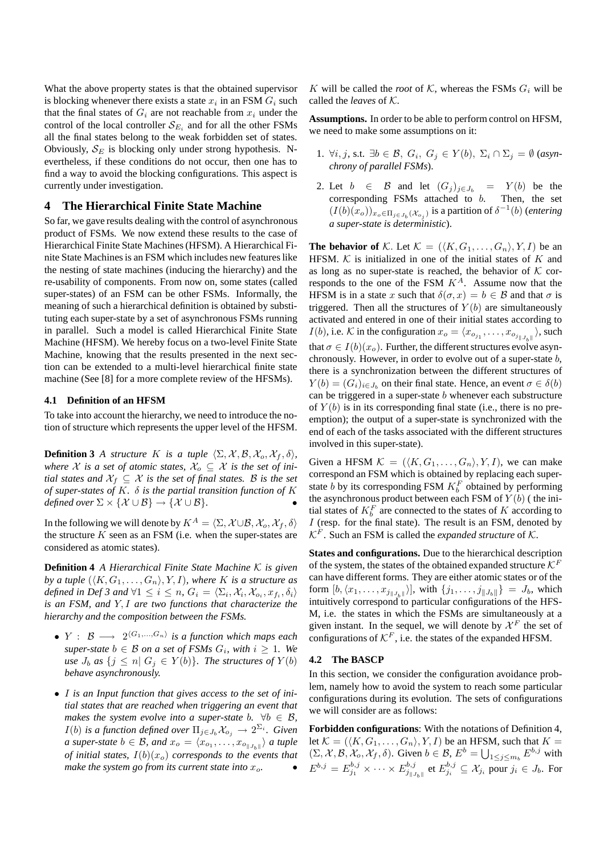What the above property states is that the obtained supervisor is blocking whenever there exists a state  $x_i$  in an FSM  $G_i$  such that the final states of  $G_i$  are not reachable from  $x_i$  under the control of the local controller  $\mathcal{S}_{E_i}$  and for all the other FSMs all the final states belong to the weak forbidden set of states. Obviously,  $S_E$  is blocking only under strong hypothesis. Nevertheless, if these conditions do not occur, then one has to find a way to avoid the blocking configurations. This aspect is currently under investigation.

## **4 The Hierarchical Finite State Machine**

So far, we gave results dealing with the control of asynchronous product of FSMs. We now extend these results to the case of Hierarchical Finite State Machines(HFSM). A Hierarchical Finite State Machines is an FSM which includes new features like the nesting of state machines (inducing the hierarchy) and the re-usability of components. From now on, some states (called super-states) of an FSM can be other FSMs. Informally, the meaning of such a hierarchical definition is obtained by substituting each super-state by a set of asynchronous FSMs running in parallel. Such a model is called Hierarchical Finite State Machine (HFSM). We hereby focus on a two-level Finite State Machine, knowing that the results presented in the next section can be extended to a multi-level hierarchical finite state machine (See [8] for a more complete review of the HFSMs).

#### **4.1 Definition of an HFSM**

To take into account the hierarchy, we need to introduce the notion of structure which represents the upper level of the HFSM.

**Definition 3** *A structure K is a tuple*  $\langle \Sigma, \mathcal{X}, \mathcal{B}, \mathcal{X}_o, \mathcal{X}_f, \delta \rangle$ , *where*  $X$  *is a set of atomic states,*  $X_o \subseteq X$  *is the set of initial states and*  $X_f \subseteq X$  *is the set of final states.* B *is the set of super-states of* K*.* δ *is the partial transition function of* K *defined over*  $\Sigma \times \{X \cup B\} \rightarrow \{X \cup B\}.$ 

In the following we will denote by  $K^A = \langle \Sigma, \mathcal{X} \cup \mathcal{B}, \mathcal{X}_o, \mathcal{X}_f, \delta \rangle$ the structure  $K$  seen as an FSM (i.e. when the super-states are considered as atomic states).

**Definition 4** *A Hierarchical Finite State Machine* K *is given by a tuple*  $(\langle K, G_1, \ldots, G_n \rangle, Y, I)$ *, where K is a structure as defined in Def 3 and*  $\forall 1 \leq i \leq n$ ,  $G_i = \langle \Sigma_i, \mathcal{X}_i, \mathcal{X}_{o_i}, x_{f_i}, \delta_i \rangle$ *is an FSM, and* Y, I *are two functions that characterize the hierarchy and the composition between the FSMs.*

- $Y: \mathcal{B} \longrightarrow 2^{\langle G_1,...,G_n\rangle}$  is a function which maps each  $super-state$   $b \in B$  *on*  $a$   $set$  of  $FSMs$   $G_i$ ,  $with$   $i \geq 1$ . We *use*  $J_b$  *as*  $\{j \leq n | G_j \in Y(b)\}.$  *The structures of*  $Y(b)$ *behave asynchronously.*
- I *is an Input function that gives access to the set of initial states that are reached when triggering an event that makes* the *system evolve into a super-state*  $b$ *.*  $\forall b \in \mathcal{B}$ *,*  $I(b)$  *is a function defined over*  $\Pi_{j\in J_b} \mathcal{X}_{o_j} \to 2^{\Sigma_i}$ *. Given a* super-state  $b \in \mathcal{B}$ , and  $x_o = \langle x_{o_1}, \ldots, x_{o_{\|J_{b}\|}} \rangle$  a tuple *of initial states,*  $I(b)(x_o)$  *corresponds to the events that make the system go from its current state into*  $x_o$ *.*

K will be called the *root* of K, whereas the FSMs  $G_i$  will be called the *leaves* of K.

**Assumptions.** In order to be able to perform control on HFSM, we need to make some assumptions on it:

- 1.  $\forall i, j$ , s.t.  $\exists b \in \mathcal{B}, G_i, G_j \in Y(b), \Sigma_i \cap \Sigma_j = \emptyset$  (asyn*chrony of parallel FSMs*).
- 2. Let  $b \in \mathcal{B}$  and let  $(G_j)_{j \in J_b} = Y(b)$  be the corresponding FSMs attached to b. Then, the set  $(I(b)(x_o))_{x_o \in \Pi_{j \in J_b}(\mathcal{X}_{o_j})}$  is a partition of  $\delta^{-1}(b)$  (*entering a super-state is deterministic*).

**The behavior of** K. Let  $K = (\langle K, G_1, \ldots, G_n \rangle, Y, I)$  be an HFSM.  $K$  is initialized in one of the initial states of  $K$  and as long as no super-state is reached, the behavior of  $K$  corresponds to the one of the FSM  $K^A$ . Assume now that the HFSM is in a state x such that  $\delta(\sigma, x) = b \in \mathcal{B}$  and that  $\sigma$  is triggered. Then all the structures of  $Y(b)$  are simultaneously activated and entered in one of their initial states according to  $I(b)$ , i.e. K in the configuration  $x_o = \langle x_{o_{j_1}}, \dots, x_{o_{j_{\|J_{b}\|}}}\rangle$ , such that  $\sigma \in I(b)(x_0)$ . Further, the different structures evolve asynchronously. However, in order to evolve out of a super-state b, there is a synchronization between the different structures of  $Y(b) = (G_i)_{i \in J_b}$  on their final state. Hence, an event  $\sigma \in \delta(b)$ can be triggered in a super-state b whenever each substructure of  $Y(b)$  is in its corresponding final state (i.e., there is no preemption); the output of a super-state is synchronized with the end of each of the tasks associated with the different structures involved in this super-state).

Given a HFSM  $\mathcal{K} = (\langle K, G_1, \ldots, G_n \rangle, Y, I)$ , we can make correspond an FSM which is obtained by replacing each superstate *b* by its corresponding FSM  $K_b^F$  obtained by performing the asynchronous product between each FSM of  $Y(b)$  (the initial states of  $K_b^F$  are connected to the states of K according to  $I$  (resp. for the final state). The result is an FSM, denoted by  $\mathcal{K}^F$ . Such an FSM is called the *expanded structure* of  $\mathcal{K}$ .

**States and configurations.** Due to the hierarchical description of the system, the states of the obtained expanded structure  $\mathcal{K}^F$ can have different forms. They are either atomic states or of the form  $[b, \langle x_1, \ldots, x_{j_{\|J_b\|}} \rangle]$ , with  $\{j_1, \ldots, j_{\|J_b\|}} = J_b$ , which intuitively correspond to particular configurations of the HFS-M, i.e. the states in which the FSMs are simultaneously at a given instant. In the sequel, we will denote by  $\mathcal{X}^F$  the set of configurations of  $\mathcal{K}^F$ , i.e. the states of the expanded HFSM.

#### **4.2 The BASCP**

In this section, we consider the configuration avoidance problem, namely how to avoid the system to reach some particular configurations during its evolution. The sets of configurations we will consider are as follows:

**Forbidden configurations**: With the notations of Definition 4, let  $\mathcal{K} = (\langle K, G_1, \ldots, G_n \rangle, Y, I)$  be an HFSM, such that  $K =$  $(\Sigma, \mathcal{X}, \mathcal{B}, \mathcal{X}_o, \mathcal{X}_f, \delta)$ . Given  $b \in \mathcal{B}, E^b = \bigcup_{1 \leq j \leq m_b} E^{b,j}$  with  $E^{b,j} = E_{j_1}^{b,j} \times \cdots \times E_{j_{\|J_b\|}}^{b,j}$  et  $E_{j_i}^{b,j} \subseteq \mathcal{X}_{j_i}$  pour  $j_i \in J_b$ . For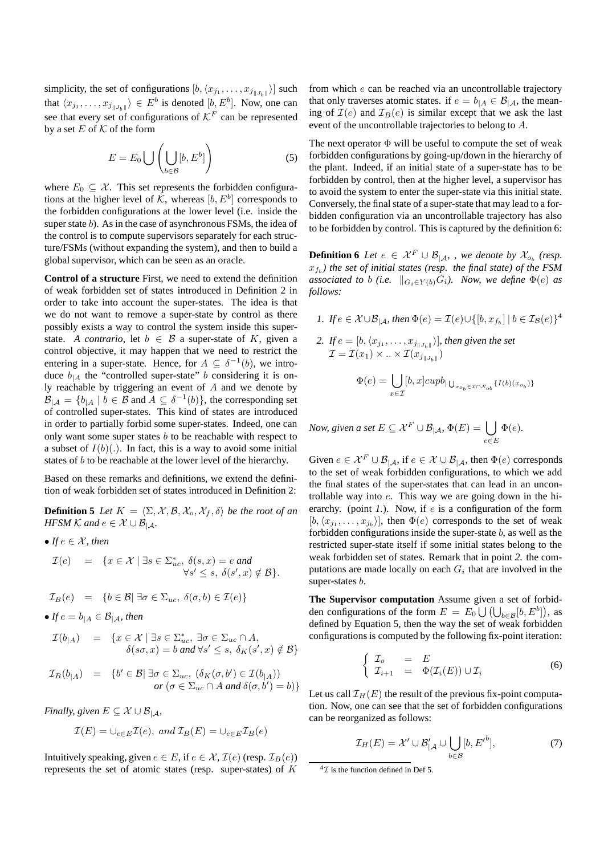simplicity, the set of configurations  $[b, \langle x_{j_1}, \ldots, x_{j_{\Vert J_b \Vert}} \rangle]$  such that  $\langle x_{j_1}, \ldots, x_{j_{\|J_{b\|}}}\rangle \in E^b$  is denoted  $[b, E^b]$ . Now, one can see that every set of configurations of  $\mathcal{K}^F$  can be represented by a set E of  $K$  of the form

$$
E = E_0 \bigcup \left( \bigcup_{b \in \mathcal{B}} [b, E^b] \right) \tag{5}
$$

where  $E_0 \subseteq \mathcal{X}$ . This set represents the forbidden configurations at the higher level of K, whereas  $[b, E^b]$  corresponds to the forbidden configurations at the lower level (i.e. inside the super state  $b$ ). As in the case of asynchronous FSMs, the idea of the control is to compute supervisors separately for each structure/FSMs (without expanding the system), and then to build a global supervisor, which can be seen as an oracle.

**Control of a structure** First, we need to extend the definition of weak forbidden set of states introduced in Definition 2 in order to take into account the super-states. The idea is that we do not want to remove a super-state by control as there possibly exists a way to control the system inside this superstate. *A contrario*, let  $b \in \mathcal{B}$  a super-state of K, given a control objective, it may happen that we need to restrict the entering in a super-state. Hence, for  $A \subseteq \delta^{-1}(b)$ , we introduce  $b_{|A}$  the "controlled super-state" b considering it is only reachable by triggering an event of A and we denote by  $\mathcal{B}_{|\mathcal{A}} = \{b_{|\mathcal{A}} \mid b \in \mathcal{B} \text{ and } A \subseteq \delta^{-1}(b)\},\text{ the corresponding set }$ of controlled super-states. This kind of states are introduced in order to partially forbid some super-states. Indeed, one can only want some super states  $b$  to be reachable with respect to a subset of  $I(b)(.)$ . In fact, this is a way to avoid some initial states of b to be reachable at the lower level of the hierarchy.

Based on these remarks and definitions, we extend the definition of weak forbidden set of states introduced in Definition 2:

**Definition 5** *Let*  $K = \langle \Sigma, \mathcal{X}, \mathcal{B}, \mathcal{X}_o, \mathcal{X}_f, \delta \rangle$  *be the root of an HFSM*  $K$  *and*  $e \in \mathcal{X} \cup \mathcal{B}_{\vert A}$ *.* 

• *If*  $e \in \mathcal{X}$ *, then* 

$$
\mathcal{I}(e) = \{x \in \mathcal{X} \mid \exists s \in \Sigma_{uc}^*, \ \delta(s, x) = e \ and \ \forall s' \le s, \ \delta(s', x) \notin \mathcal{B}\}.
$$

$$
\mathcal{I}_B(e) = \{b \in \mathcal{B} \mid \exists \sigma \in \Sigma_{uc}, \ \delta(\sigma, b) \in \mathcal{I}(e)\}
$$

• *If*  $e = b_{\vert A} \in \mathcal{B}_{\vert A}$ *, then* 

$$
\mathcal{I}(b_{|A}) = \{x \in \mathcal{X} \mid \exists s \in \Sigma_{uc}^*, \exists \sigma \in \Sigma_{uc} \cap A, \\ \delta(s\sigma, x) = b \text{ and } \forall s' \le s, \delta_K(s', x) \notin \mathcal{B}\}
$$

$$
\mathcal{I}_B(b_{|A}) = \{b' \in \mathcal{B} | \exists \sigma \in \Sigma_{uc}, (\delta_K(\sigma, b') \in \mathcal{I}(b_{|A}))or (\sigma \in \Sigma_{uc} \cap A \text{ and } \delta(\sigma, b') = b)\}\
$$

*Finally, given*  $E \subseteq \mathcal{X} \cup \mathcal{B}_{\vert A}$ *,* 

$$
\mathcal{I}(E) = \bigcup_{e \in E} \mathcal{I}(e), \ and \ \mathcal{I}_B(E) = \bigcup_{e \in E} \mathcal{I}_B(e)
$$

Intuitively speaking, given  $e \in E$ , if  $e \in \mathcal{X}, \mathcal{I}(e)$  (resp.  $\mathcal{I}_B(e)$ ) represents the set of atomic states (resp. super-states) of  $K$  from which e can be reached via an uncontrollable trajectory that only traverses atomic states. if  $e = b_{A} \in \mathcal{B}_{A}$ , the meaning of  $\mathcal{I}(e)$  and  $\mathcal{I}_B(e)$  is similar except that we ask the last event of the uncontrollable trajectories to belong to A.

The next operator  $\Phi$  will be useful to compute the set of weak forbidden configurations by going-up/down in the hierarchy of the plant. Indeed, if an initial state of a super-state has to be forbidden by control, then at the higher level, a supervisor has to avoid the system to enter the super-state via this initial state. Conversely, the final state of a super-state that may lead to a forbidden configuration via an uncontrollable trajectory has also to be forbidden by control. This is captured by the definition 6:

**Definition 6** Let  $e \in \mathcal{X}^F \cup \mathcal{B}_{|\mathcal{A}|}$ , we denote by  $\mathcal{X}_{o_b}$  (resp. xf<sup>b</sup> *) the set of initial states (resp. the final state) of the FSM associated to b* (*i.e.*  $\|G_i \in Y(b)G_i$ *). Now, we define*  $\Phi(e)$  *as follows:*

*1. If*  $e \in \mathcal{X} \cup \mathcal{B}_{|\mathcal{A}}$ *, then*  $\Phi(e) = \mathcal{I}(e) \cup \{[b, x_{f_b}] \mid b \in \mathcal{I}_{\mathcal{B}}(e)\}^4$ 

2. If 
$$
e = [b, \langle x_{j_1}, \dots, x_{j_{\|J_b\|}} \rangle]
$$
, then given the set  
\n
$$
\mathcal{I} = \mathcal{I}(x_1) \times \ldots \times \mathcal{I}(x_{j_{\|J_b\|}})
$$
\n
$$
\Phi(e) = \bigcup_{x \in \mathcal{I}} [b, x] \operatorname{cup}_{|\bigcup_{x_{o_b} \in \mathcal{I} \cap \mathcal{X}_{ob}} \{I(b)(x_{o_b})\}}
$$

*Now, given a set*  $E \subseteq \mathcal{X}^F \cup \mathcal{B}_{|\mathcal{A}}, \, \Phi(E) = \left\{ \right. \right\}$ e∈E  $\Phi(e)$ .

Given  $e \in \mathcal{X}^F \cup \mathcal{B}_{|\mathcal{A}}$ , if  $e \in \mathcal{X} \cup \mathcal{B}_{|\mathcal{A}}$ , then  $\Phi(e)$  corresponds to the set of weak forbidden configurations, to which we add the final states of the super-states that can lead in an uncontrollable way into e. This way we are going down in the hierarchy. (point *1.*). Now, if *e* is a configuration of the form  $[b, \langle x_{j_1}, \ldots, x_{j_b} \rangle]$ , then  $\Phi(e)$  corresponds to the set of weak forbidden configurations inside the super-state  $b$ , as well as the restricted super-state itself if some initial states belong to the weak forbidden set of states. Remark that in point *2.* the computations are made locally on each  $G_i$  that are involved in the super-states  $b$ .

**The Supervisor computation** Assume given a set of forbidden configurations of the form  $E = E_0 \bigcup (\bigcup_{b \in \mathcal{B}} [b, E^b])$ , as defined by Equation 5, then the way the set of weak forbidden configurations is computed by the following fix-point iteration:

$$
\begin{cases}\n\mathcal{I}_o = E \\
\mathcal{I}_{i+1} = \Phi(\mathcal{I}_i(E)) \cup \mathcal{I}_i\n\end{cases}
$$
\n(6)

Let us call  $\mathcal{I}_H(E)$  the result of the previous fix-point computation. Now, one can see that the set of forbidden configurations can be reorganized as follows:

$$
\mathcal{I}_H(E) = \mathcal{X}' \cup \mathcal{B}'_{|\mathcal{A}} \cup \bigcup_{b \in \mathcal{B}} [b, E'^b],\tag{7}
$$

 ${}^{4}$ *T* is the function defined in Def 5.